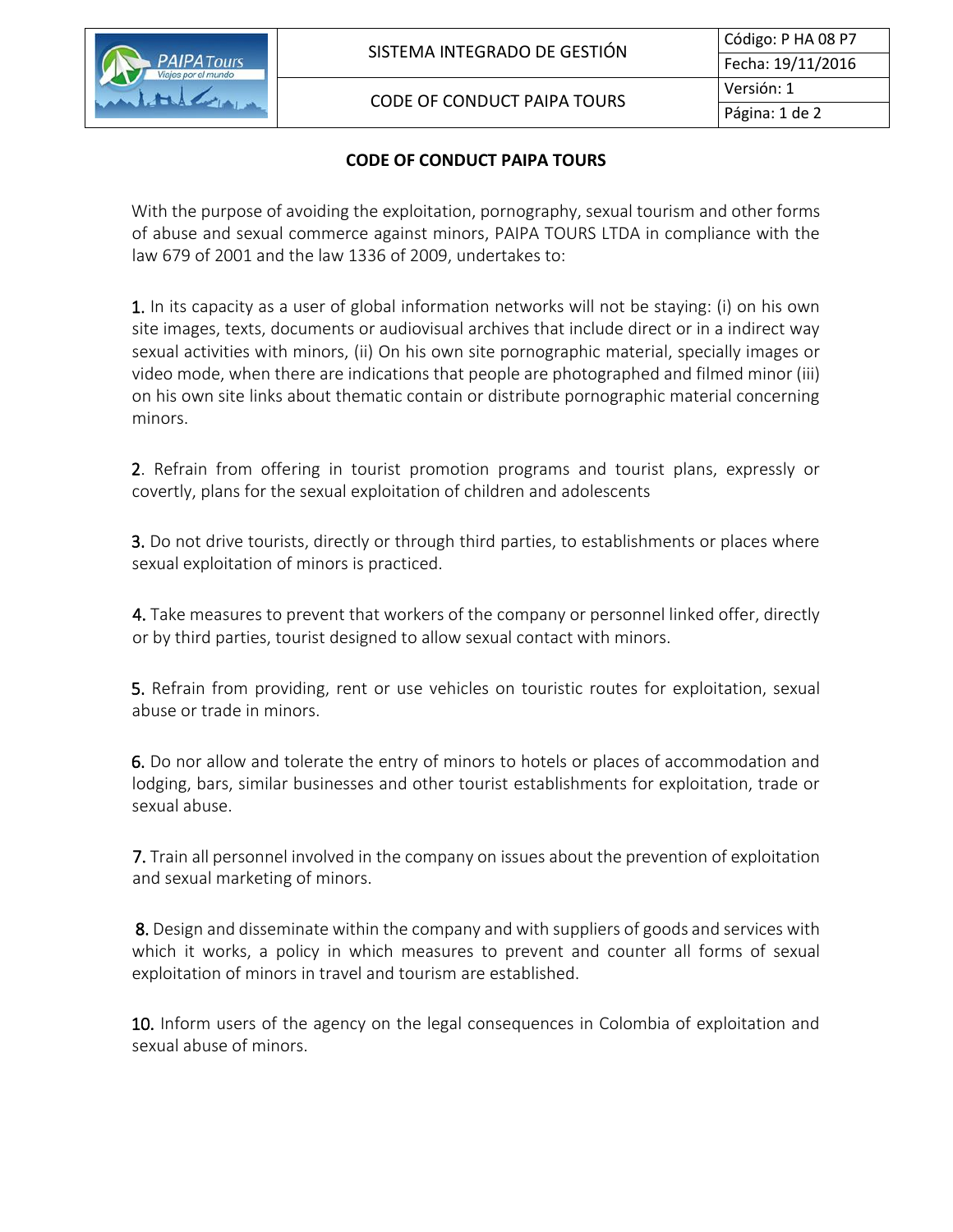

## CODE OF CONDUCT PAIPA TOURS

## **CODE OF CONDUCT PAIPA TOURS**

With the purpose of avoiding the exploitation, pornography, sexual tourism and other forms of abuse and sexual commerce against minors, PAIPA TOURS LTDA in compliance with the law 679 of 2001 and the law 1336 of 2009, undertakes to:

1. In its capacity as a user of global information networks will not be staying: (i) on his own site images, texts, documents or audiovisual archives that include direct or in a indirect way sexual activities with minors, (ii) On his own site pornographic material, specially images or video mode, when there are indications that people are photographed and filmed minor (iii) on his own site links about thematic contain or distribute pornographic material concerning minors.

2. Refrain from offering in tourist promotion programs and tourist plans, expressly or covertly, plans for the sexual exploitation of children and adolescents

**3.** Do not drive tourists, directly or through third parties, to establishments or places where sexual exploitation of minors is practiced.

4. Take measures to prevent that workers of the company or personnel linked offer, directly or by third parties, tourist designed to allow sexual contact with minors.

5. Refrain from providing, rent or use vehicles on touristic routes for exploitation, sexual abuse or trade in minors.

6. Do nor allow and tolerate the entry of minors to hotels or places of accommodation and lodging, bars, similar businesses and other tourist establishments for exploitation, trade or sexual abuse.

7. Train all personnel involved in the company on issues about the prevention of exploitation and sexual marketing of minors.

 8. Design and disseminate within the company and with suppliers of goods and services with which it works, a policy in which measures to prevent and counter all forms of sexual exploitation of minors in travel and tourism are established.

10. Inform users of the agency on the legal consequences in Colombia of exploitation and sexual abuse of minors.